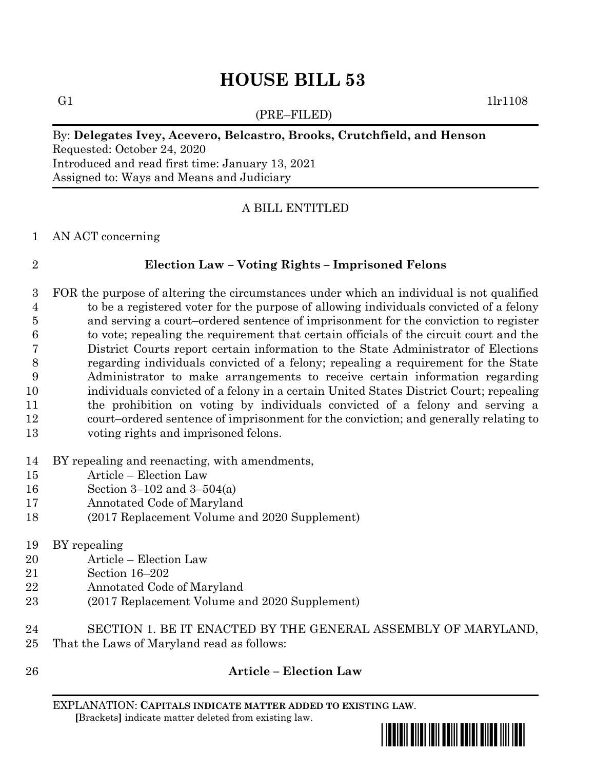# **HOUSE BILL 53**

(PRE–FILED)

G1  $1\text{lr}1108$ 

# By: **Delegates Ivey, Acevero, Belcastro, Brooks, Crutchfield, and Henson** Requested: October 24, 2020 Introduced and read first time: January 13, 2021

Assigned to: Ways and Means and Judiciary

### A BILL ENTITLED

### AN ACT concerning

### **Election Law – Voting Rights – Imprisoned Felons**

 FOR the purpose of altering the circumstances under which an individual is not qualified to be a registered voter for the purpose of allowing individuals convicted of a felony and serving a court–ordered sentence of imprisonment for the conviction to register to vote; repealing the requirement that certain officials of the circuit court and the District Courts report certain information to the State Administrator of Elections regarding individuals convicted of a felony; repealing a requirement for the State Administrator to make arrangements to receive certain information regarding individuals convicted of a felony in a certain United States District Court; repealing the prohibition on voting by individuals convicted of a felony and serving a court–ordered sentence of imprisonment for the conviction; and generally relating to voting rights and imprisoned felons.

### BY repealing and reenacting, with amendments,

- Article Election Law
- Section 3–102 and 3–504(a)
- Annotated Code of Maryland
- (2017 Replacement Volume and 2020 Supplement)
- BY repealing
- Article Election Law
- Section 16–202
- Annotated Code of Maryland
- (2017 Replacement Volume and 2020 Supplement)
- SECTION 1. BE IT ENACTED BY THE GENERAL ASSEMBLY OF MARYLAND, That the Laws of Maryland read as follows:
- 

## **Article – Election Law**

EXPLANATION: **CAPITALS INDICATE MATTER ADDED TO EXISTING LAW**.  **[**Brackets**]** indicate matter deleted from existing law.

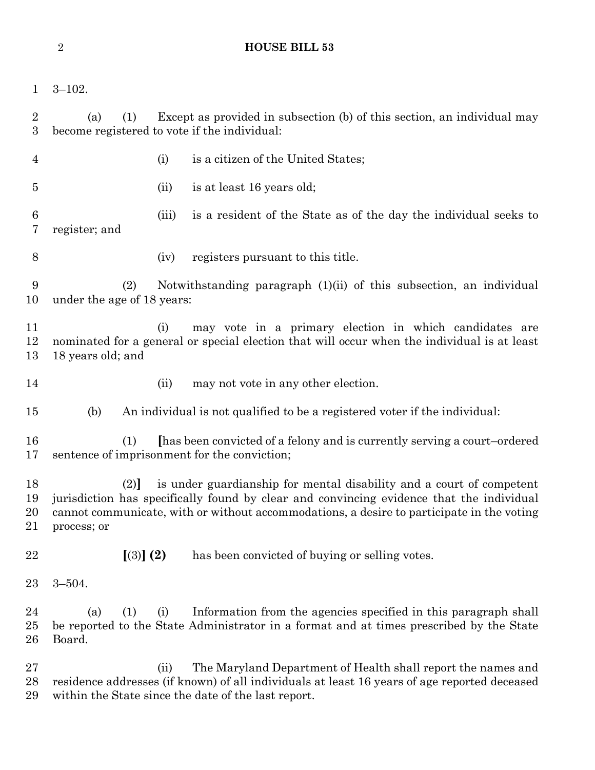| $\overline{2}$<br><b>HOUSE BILL 53</b> |                                                                                                                                                                                                                                                                                     |       |                                                                                                                                                                                                                     |
|----------------------------------------|-------------------------------------------------------------------------------------------------------------------------------------------------------------------------------------------------------------------------------------------------------------------------------------|-------|---------------------------------------------------------------------------------------------------------------------------------------------------------------------------------------------------------------------|
| $\mathbf 1$                            | $3 - 102.$                                                                                                                                                                                                                                                                          |       |                                                                                                                                                                                                                     |
| $\overline{2}$<br>$\boldsymbol{3}$     | Except as provided in subsection (b) of this section, an individual may<br>(1)<br>(a)<br>become registered to vote if the individual:                                                                                                                                               |       |                                                                                                                                                                                                                     |
| 4                                      |                                                                                                                                                                                                                                                                                     | (i)   | is a citizen of the United States;                                                                                                                                                                                  |
| 5                                      |                                                                                                                                                                                                                                                                                     | (ii)  | is at least 16 years old;                                                                                                                                                                                           |
| $\boldsymbol{6}$<br>7                  | register; and                                                                                                                                                                                                                                                                       | (iii) | is a resident of the State as of the day the individual seeks to                                                                                                                                                    |
| 8                                      |                                                                                                                                                                                                                                                                                     | (iv)  | registers pursuant to this title.                                                                                                                                                                                   |
| 9<br>10                                | Notwithstanding paragraph (1)(ii) of this subsection, an individual<br>(2)<br>under the age of 18 years:                                                                                                                                                                            |       |                                                                                                                                                                                                                     |
| 11<br>12<br>13                         | may vote in a primary election in which candidates are<br>(i)<br>nominated for a general or special election that will occur when the individual is at least<br>18 years old; and                                                                                                   |       |                                                                                                                                                                                                                     |
| 14                                     |                                                                                                                                                                                                                                                                                     | (ii)  | may not vote in any other election.                                                                                                                                                                                 |
| 15                                     | (b)                                                                                                                                                                                                                                                                                 |       | An individual is not qualified to be a registered voter if the individual:                                                                                                                                          |
| 16<br>17                               | [has been convicted of a felony and is currently serving a court-ordered<br>(1)<br>sentence of imprisonment for the conviction;                                                                                                                                                     |       |                                                                                                                                                                                                                     |
| 18<br>19<br>20<br>21                   | is under guardianship for mental disability and a court of competent<br>(2)<br>jurisdiction has specifically found by clear and convincing evidence that the individual<br>cannot communicate, with or without accommodations, a desire to participate in the voting<br>process; or |       |                                                                                                                                                                                                                     |
| 22                                     | [(3)] (2)                                                                                                                                                                                                                                                                           |       | has been convicted of buying or selling votes.                                                                                                                                                                      |
| 23                                     | $3 - 504.$                                                                                                                                                                                                                                                                          |       |                                                                                                                                                                                                                     |
| 24<br>25<br>26                         | (1)<br>(a)<br>Board.                                                                                                                                                                                                                                                                | (i)   | Information from the agencies specified in this paragraph shall<br>be reported to the State Administrator in a format and at times prescribed by the State                                                          |
| 27<br>28<br>29                         |                                                                                                                                                                                                                                                                                     | (ii)  | The Maryland Department of Health shall report the names and<br>residence addresses (if known) of all individuals at least 16 years of age reported deceased<br>within the State since the date of the last report. |